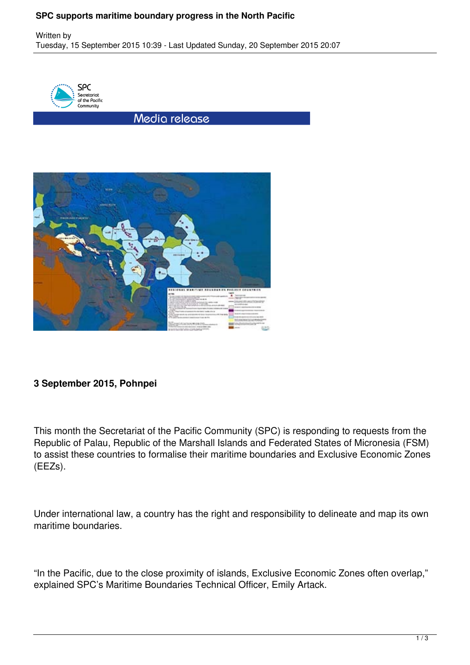## **SPC supports maritime boundary progress in the North Pacific**



Media release



## **3 September 2015, Pohnpei**

This month the Secretariat of the Pacific Community (SPC) is responding to requests from the Republic of Palau, Republic of the Marshall Islands and Federated States of Micronesia (FSM) to assist these countries to formalise their maritime boundaries and Exclusive Economic Zones (EEZs).

Under international law, a country has the right and responsibility to delineate and map its own maritime boundaries.

"In the Pacific, due to the close proximity of islands, Exclusive Economic Zones often overlap," explained SPC's Maritime Boundaries Technical Officer, Emily Artack.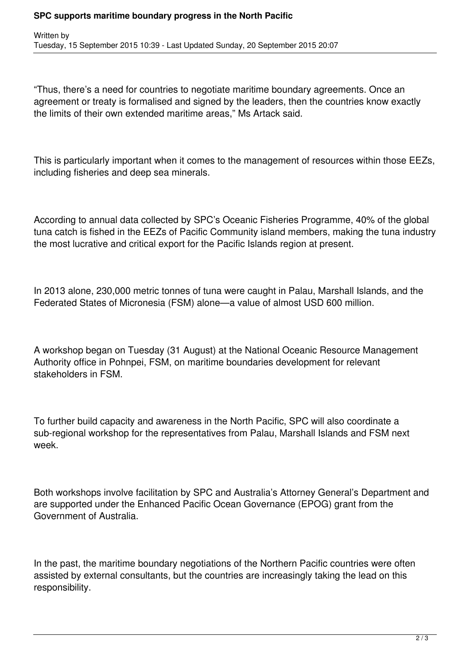## **SPC supports maritime boundary progress in the North Pacific**

"Thus, there's a need for countries to negotiate maritime boundary agreements. Once an agreement or treaty is formalised and signed by the leaders, then the countries know exactly the limits of their own extended maritime areas," Ms Artack said.

This is particularly important when it comes to the management of resources within those EEZs, including fisheries and deep sea minerals.

According to annual data collected by SPC's Oceanic Fisheries Programme, 40% of the global tuna catch is fished in the EEZs of Pacific Community island members, making the tuna industry the most lucrative and critical export for the Pacific Islands region at present.

In 2013 alone, 230,000 metric tonnes of tuna were caught in Palau, Marshall Islands, and the Federated States of Micronesia (FSM) alone—a value of almost USD 600 million.

A workshop began on Tuesday (31 August) at the National Oceanic Resource Management Authority office in Pohnpei, FSM, on maritime boundaries development for relevant stakeholders in FSM.

To further build capacity and awareness in the North Pacific, SPC will also coordinate a sub-regional workshop for the representatives from Palau, Marshall Islands and FSM next week.

Both workshops involve facilitation by SPC and Australia's Attorney General's Department and are supported under the Enhanced Pacific Ocean Governance (EPOG) grant from the Government of Australia.

In the past, the maritime boundary negotiations of the Northern Pacific countries were often assisted by external consultants, but the countries are increasingly taking the lead on this responsibility.